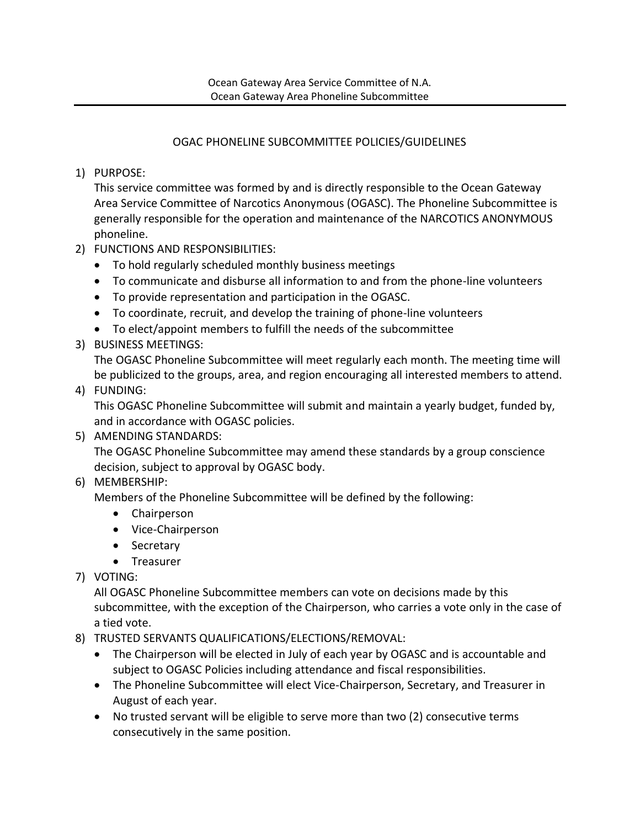## OGAC PHONELINE SUBCOMMITTEE POLICIES/GUIDELINES

1) PURPOSE:

This service committee was formed by and is directly responsible to the Ocean Gateway Area Service Committee of Narcotics Anonymous (OGASC). The Phoneline Subcommittee is generally responsible for the operation and maintenance of the NARCOTICS ANONYMOUS phoneline.

- 2) FUNCTIONS AND RESPONSIBILITIES:
	- To hold regularly scheduled monthly business meetings
	- To communicate and disburse all information to and from the phone-line volunteers
	- To provide representation and participation in the OGASC.
	- To coordinate, recruit, and develop the training of phone-line volunteers
	- To elect/appoint members to fulfill the needs of the subcommittee
- 3) BUSINESS MEETINGS:

The OGASC Phoneline Subcommittee will meet regularly each month. The meeting time will be publicized to the groups, area, and region encouraging all interested members to attend.

### 4) FUNDING:

This OGASC Phoneline Subcommittee will submit and maintain a yearly budget, funded by, and in accordance with OGASC policies.

# 5) AMENDING STANDARDS:

The OGASC Phoneline Subcommittee may amend these standards by a group conscience decision, subject to approval by OGASC body.

6) MEMBERSHIP:

Members of the Phoneline Subcommittee will be defined by the following:

- Chairperson
- Vice-Chairperson
- Secretary
- Treasurer
- 7) VOTING:

All OGASC Phoneline Subcommittee members can vote on decisions made by this subcommittee, with the exception of the Chairperson, who carries a vote only in the case of a tied vote.

- 8) TRUSTED SERVANTS QUALIFICATIONS/ELECTIONS/REMOVAL:
	- The Chairperson will be elected in July of each year by OGASC and is accountable and subject to OGASC Policies including attendance and fiscal responsibilities.
	- The Phoneline Subcommittee will elect Vice-Chairperson, Secretary, and Treasurer in August of each year.
	- No trusted servant will be eligible to serve more than two (2) consecutive terms consecutively in the same position.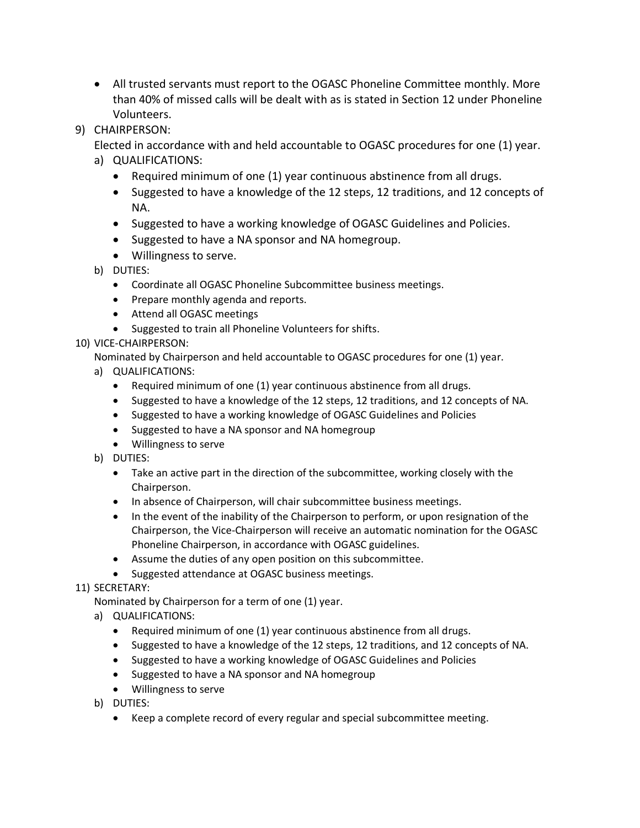• All trusted servants must report to the OGASC Phoneline Committee monthly. More than 40% of missed calls will be dealt with as is stated in Section 12 under Phoneline Volunteers.

## 9) CHAIRPERSON:

Elected in accordance with and held accountable to OGASC procedures for one (1) year.

- a) QUALIFICATIONS:
	- Required minimum of one (1) year continuous abstinence from all drugs.
	- Suggested to have a knowledge of the 12 steps, 12 traditions, and 12 concepts of NA.
	- Suggested to have a working knowledge of OGASC Guidelines and Policies.
	- Suggested to have a NA sponsor and NA homegroup.
	- Willingness to serve.
- b) DUTIES:
	- Coordinate all OGASC Phoneline Subcommittee business meetings.
	- Prepare monthly agenda and reports.
	- Attend all OGASC meetings
	- Suggested to train all Phoneline Volunteers for shifts.

### 10) VICE-CHAIRPERSON:

Nominated by Chairperson and held accountable to OGASC procedures for one (1) year.

- a) QUALIFICATIONS:
	- Required minimum of one (1) year continuous abstinence from all drugs.
	- Suggested to have a knowledge of the 12 steps, 12 traditions, and 12 concepts of NA.
	- Suggested to have a working knowledge of OGASC Guidelines and Policies
	- Suggested to have a NA sponsor and NA homegroup
	- Willingness to serve
- b) DUTIES:
	- Take an active part in the direction of the subcommittee, working closely with the Chairperson.
	- In absence of Chairperson, will chair subcommittee business meetings.
	- In the event of the inability of the Chairperson to perform, or upon resignation of the Chairperson, the Vice-Chairperson will receive an automatic nomination for the OGASC Phoneline Chairperson, in accordance with OGASC guidelines.
	- Assume the duties of any open position on this subcommittee.
	- Suggested attendance at OGASC business meetings.

# 11) SECRETARY:

Nominated by Chairperson for a term of one (1) year.

- a) QUALIFICATIONS:
	- Required minimum of one (1) year continuous abstinence from all drugs.
	- Suggested to have a knowledge of the 12 steps, 12 traditions, and 12 concepts of NA.
	- Suggested to have a working knowledge of OGASC Guidelines and Policies
	- Suggested to have a NA sponsor and NA homegroup
	- Willingness to serve
- b) DUTIES:
	- Keep a complete record of every regular and special subcommittee meeting.